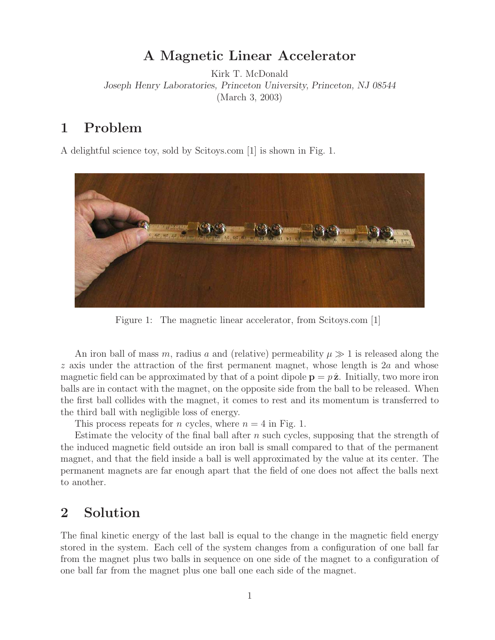## **A Magnetic Linear Accelerator**

Kirk T. McDonald *Joseph Henry Laboratories, Princeton University, Princeton, NJ 08544* (March 3, 2003)

# **1 Problem**

A delightful science toy, sold by Scitoys.com [1] is shown in Fig. 1.



Figure 1: The magnetic linear accelerator, from Scitoys.com [1]

An iron ball of mass m, radius a and (relative) permeability  $\mu \gg 1$  is released along the  $z$  axis under the attraction of the first permanent magnet, whose length is  $2a$  and whose magnetic field can be approximated by that of a point dipole  $\mathbf{p} = p\hat{\mathbf{z}}$ . Initially, two more iron balls are in contact with the magnet, on the opposite side from the ball to be released. When the first ball collides with the magnet, it comes to rest and its momentum is transferred to the third ball with negligible loss of energy.

This process repeats for *n* cycles, where  $n = 4$  in Fig. 1.

Estimate the velocity of the final ball after  $n$  such cycles, supposing that the strength of the induced magnetic field outside an iron ball is small compared to that of the permanent magnet, and that the field inside a ball is well approximated by the value at its center. The permanent magnets are far enough apart that the field of one does not affect the balls next to another.

# **2 Solution**

The final kinetic energy of the last ball is equal to the change in the magnetic field energy stored in the system. Each cell of the system changes from a configuration of one ball far from the magnet plus two balls in sequence on one side of the magnet to a configuration of one ball far from the magnet plus one ball one each side of the magnet.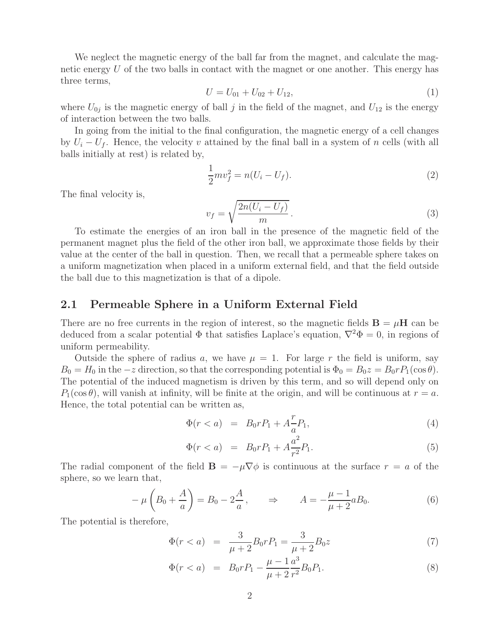We neglect the magnetic energy of the ball far from the magnet, and calculate the magnetic energy  $U$  of the two balls in contact with the magnet or one another. This energy has three terms,

$$
U = U_{01} + U_{02} + U_{12}, \tag{1}
$$

where  $U_{0j}$  is the magnetic energy of ball j in the field of the magnet, and  $U_{12}$  is the energy of interaction between the two balls.

In going from the initial to the final configuration, the magnetic energy of a cell changes by  $U_i - U_f$ . Hence, the velocity v attained by the final ball in a system of n cells (with all balls initially at rest) is related by,

$$
\frac{1}{2}mv_f^2 = n(U_i - U_f).
$$
\n(2)

The final velocity is,

$$
v_f = \sqrt{\frac{2n(U_i - U_f)}{m}}.
$$
\n(3)

To estimate the energies of an iron ball in the presence of the magnetic field of the permanent magnet plus the field of the other iron ball, we approximate those fields by their value at the center of the ball in question. Then, we recall that a permeable sphere takes on a uniform magnetization when placed in a uniform external field, and that the field outside the ball due to this magnetization is that of a dipole.

### **2.1 Permeable Sphere in a Uniform External Field**

There are no free currents in the region of interest, so the magnetic fields  $\mathbf{B} = \mu \mathbf{H}$  can be deduced from a scalar potential  $\Phi$  that satisfies Laplace's equation,  $\nabla^2 \Phi = 0$ , in regions of uniform permeability.

Outside the sphere of radius a, we have  $\mu = 1$ . For large r the field is uniform, say  $B_0 = H_0$  in the  $-z$  direction, so that the corresponding potential is  $\Phi_0 = B_0 z = B_0 r P_1(\cos \theta)$ . The potential of the induced magnetism is driven by this term, and so will depend only on  $P_1(\cos \theta)$ , will vanish at infinity, will be finite at the origin, and will be continuous at  $r = a$ . Hence, the total potential can be written as,

$$
\Phi(r < a) = B_0 r P_1 + A \frac{r}{a} P_1,\tag{4}
$$

$$
\Phi(r < a) = B_0 r P_1 + A \frac{a^2}{r^2} P_1. \tag{5}
$$

The radial component of the field  $\mathbf{B} = -\mu \nabla \phi$  is continuous at the surface  $r = a$  of the sphere, so we learn that,

$$
-\mu\left(B_0 + \frac{A}{a}\right) = B_0 - 2\frac{A}{a}, \qquad \Rightarrow \qquad A = -\frac{\mu - 1}{\mu + 2}aB_0.
$$
 (6)

The potential is therefore,

$$
\Phi(r < a) = \frac{3}{\mu + 2} B_0 r P_1 = \frac{3}{\mu + 2} B_0 z \tag{7}
$$

$$
\Phi(r < a) = B_0 r P_1 - \frac{\mu - 1}{\mu + 2} \frac{a^3}{r^2} B_0 P_1. \tag{8}
$$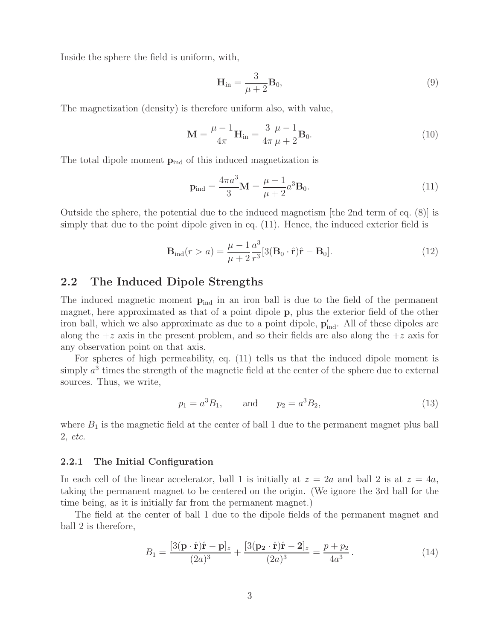Inside the sphere the field is uniform, with,

$$
\mathbf{H}_{\rm in} = \frac{3}{\mu + 2} \mathbf{B}_0,\tag{9}
$$

The magnetization (density) is therefore uniform also, with value,

$$
\mathbf{M} = \frac{\mu - 1}{4\pi} \mathbf{H}_{\text{in}} = \frac{3}{4\pi} \frac{\mu - 1}{\mu + 2} \mathbf{B}_0.
$$
 (10)

The total dipole moment  $p_{ind}$  of this induced magnetization is

$$
\mathbf{p}_{\rm ind} = \frac{4\pi a^3}{3} \mathbf{M} = \frac{\mu - 1}{\mu + 2} a^3 \mathbf{B}_0.
$$
 (11)

Outside the sphere, the potential due to the induced magnetism [the 2nd term of eq. (8)] is simply that due to the point dipole given in eq. (11). Hence, the induced exterior field is

$$
\mathbf{B}_{\rm ind}(r > a) = \frac{\mu - 1}{\mu + 2} \frac{a^3}{r^3} [3(\mathbf{B}_0 \cdot \hat{\mathbf{r}}) \hat{\mathbf{r}} - \mathbf{B}_0].
$$
 (12)

### **2.2 The Induced Dipole Strengths**

The induced magnetic moment  $p_{ind}$  in an iron ball is due to the field of the permanent magnet, here approximated as that of a point dipole **p**, plus the exterior field of the other iron ball, which we also approximate as due to a point dipole,  $p'_{ind}$ . All of these dipoles are along the  $+z$  axis in the present problem, and so their fields are also along the  $+z$  axis for any observation point on that axis.

For spheres of high permeability, eq. (11) tells us that the induced dipole moment is simply  $a<sup>3</sup>$  times the strength of the magnetic field at the center of the sphere due to external sources. Thus, we write,

$$
p_1 = a^3 B_1,
$$
 and  $p_2 = a^3 B_2,$  (13)

where  $B_1$  is the magnetic field at the center of ball 1 due to the permanent magnet plus ball 2, *etc.*

#### **2.2.1 The Initial Configuration**

In each cell of the linear accelerator, ball 1 is initially at  $z = 2a$  and ball 2 is at  $z = 4a$ , taking the permanent magnet to be centered on the origin. (We ignore the 3rd ball for the time being, as it is initially far from the permanent magnet.)

The field at the center of ball 1 due to the dipole fields of the permanent magnet and ball 2 is therefore,

$$
B_1 = \frac{[3(\mathbf{p}\cdot\hat{\mathbf{r}})\hat{\mathbf{r}} - \mathbf{p}]_z}{(2a)^3} + \frac{[3(\mathbf{p_2}\cdot\hat{\mathbf{r}})\hat{\mathbf{r}} - 2]_z}{(2a)^3} = \frac{p + p_2}{4a^3}.
$$
 (14)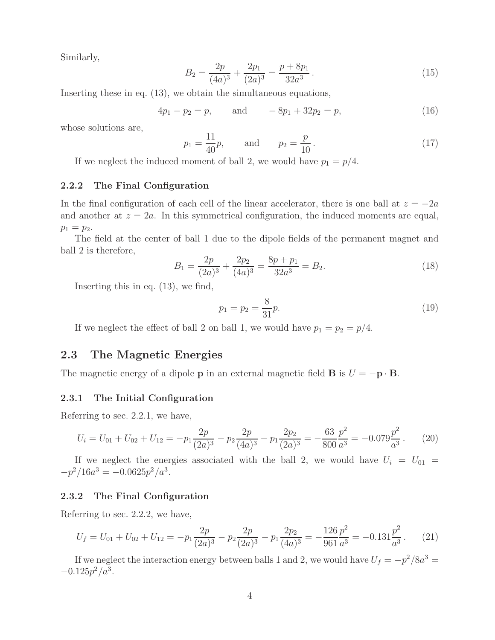Similarly,

$$
B_2 = \frac{2p}{(4a)^3} + \frac{2p_1}{(2a)^3} = \frac{p + 8p_1}{32a^3}.
$$
 (15)

Inserting these in eq. (13), we obtain the simultaneous equations,

$$
4p_1 - p_2 = p, \qquad \text{and} \qquad -8p_1 + 32p_2 = p,\tag{16}
$$

whose solutions are,

$$
p_1 = \frac{11}{40}p
$$
, and  $p_2 = \frac{p}{10}$ . (17)

If we neglect the induced moment of ball 2, we would have  $p_1 = p/4$ .

#### **2.2.2 The Final Configuration**

In the final configuration of each cell of the linear accelerator, there is one ball at  $z = -2a$ and another at  $z = 2a$ . In this symmetrical configuration, the induced moments are equal,  $p_1 = p_2.$ 

The field at the center of ball 1 due to the dipole fields of the permanent magnet and ball 2 is therefore,

$$
B_1 = \frac{2p}{(2a)^3} + \frac{2p_2}{(4a)^3} = \frac{8p + p_1}{32a^3} = B_2.
$$
 (18)

Inserting this in eq. (13), we find,

$$
p_1 = p_2 = \frac{8}{31}p.\tag{19}
$$

If we neglect the effect of ball 2 on ball 1, we would have  $p_1 = p_2 = p/4$ .

### **2.3 The Magnetic Energies**

The magnetic energy of a dipole **p** in an external magnetic field **B** is  $U = -\mathbf{p} \cdot \mathbf{B}$ .

#### **2.3.1 The Initial Configuration**

Referring to sec. 2.2.1, we have,

$$
U_i = U_{01} + U_{02} + U_{12} = -p_1 \frac{2p}{(2a)^3} - p_2 \frac{2p}{(4a)^3} - p_1 \frac{2p_2}{(2a)^3} = -\frac{63}{800} \frac{p^2}{a^3} = -0.079 \frac{p^2}{a^3}.
$$
 (20)

If we neglect the energies associated with the ball 2, we would have  $U_i = U_{01}$  $-p^2/16a^3 = -0.0625p^2/a^3$ .

#### **2.3.2 The Final Configuration**

Referring to sec. 2.2.2, we have,

$$
U_f = U_{01} + U_{02} + U_{12} = -p_1 \frac{2p}{(2a)^3} - p_2 \frac{2p}{(2a)^3} - p_1 \frac{2p_2}{(4a)^3} = -\frac{126}{961} \frac{p^2}{a^3} = -0.131 \frac{p^2}{a^3}.
$$
 (21)

If we neglect the interaction energy between balls 1 and 2, we would have  $U_f = -p^2/8a^3 =$  $-0.125p^2/a^3$ .